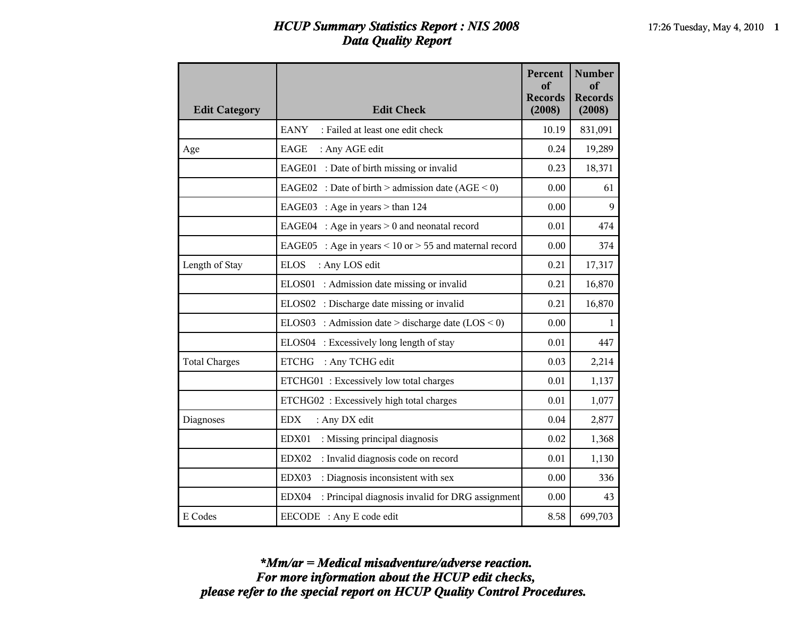## *HCUP Summary Statistics Report : NIS 2008* 17:26 Tuesday, May 4, 2010 1 *Data Quality Report*

| <b>Edit Category</b> | <b>Edit Check</b>                                                | Percent<br>of<br><b>Records</b><br>(2008) | <b>Number</b><br>of<br><b>Records</b><br>(2008) |
|----------------------|------------------------------------------------------------------|-------------------------------------------|-------------------------------------------------|
|                      | <b>EANY</b><br>: Failed at least one edit check                  | 10.19                                     | 831,091                                         |
| Age                  | <b>EAGE</b><br>: Any AGE edit                                    | 0.24                                      | 19,289                                          |
|                      | EAGE01 : Date of birth missing or invalid                        | 0.23                                      | 18,371                                          |
|                      | EAGE02 : Date of birth > admission date $(AGE < 0)$              | 0.00                                      | 61                                              |
|                      | EAGE03 : Age in years $>$ than 124                               | 0.00                                      | 9                                               |
|                      | EAGE04 : Age in years $> 0$ and neonatal record                  | 0.01                                      | 474                                             |
|                      | EAGE05<br>: Age in years $\leq 10$ or $> 55$ and maternal record | 0.00                                      | 374                                             |
| Length of Stay       | <b>ELOS</b><br>: Any LOS edit                                    | 0.21                                      | 17,317                                          |
|                      | ELOS01 : Admission date missing or invalid                       | 0.21                                      | 16,870                                          |
|                      | ELOS02 : Discharge date missing or invalid                       | 0.21                                      | 16,870                                          |
|                      | ELOS03 : Admission date > discharge date $(LOS < 0)$             | 0.00                                      | $\mathbf{1}$                                    |
|                      | ELOS04 : Excessively long length of stay                         | 0.01                                      | 447                                             |
| <b>Total Charges</b> | <b>ETCHG</b><br>: Any TCHG edit                                  | 0.03                                      | 2,214                                           |
|                      | ETCHG01: Excessively low total charges                           | 0.01                                      | 1,137                                           |
|                      | ETCHG02 : Excessively high total charges                         | 0.01                                      | 1,077                                           |
| Diagnoses            | <b>EDX</b><br>: Any DX edit                                      | 0.04                                      | 2,877                                           |
|                      | EDX01<br>: Missing principal diagnosis                           | 0.02                                      | 1,368                                           |
|                      | : Invalid diagnosis code on record<br>EDX02                      | 0.01                                      | 1,130                                           |
|                      | : Diagnosis inconsistent with sex<br>EDX03                       | 0.00                                      | 336                                             |
|                      | EDX04<br>: Principal diagnosis invalid for DRG assignment        | 0.00                                      | 43                                              |
| E Codes              | EECODE : Any E code edit                                         | 8.58                                      | 699,703                                         |

*please refer to the special report on HCUP Quality Control Procedures. For more information about the HCUP edit checks, \*Mm/ar = Medical misadventure/adverse reaction.*